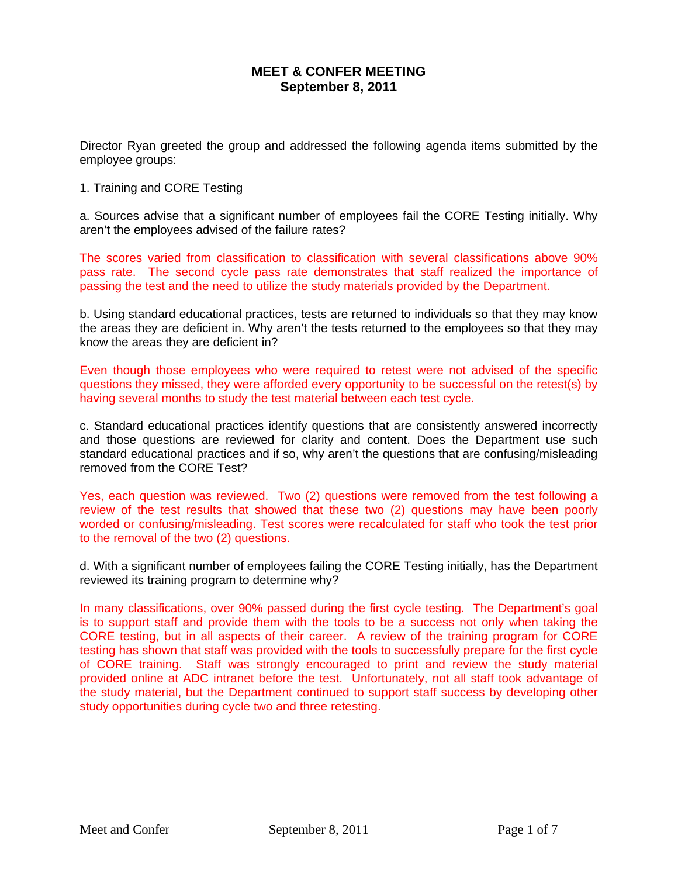## **MEET & CONFER MEETING September 8, 2011**

Director Ryan greeted the group and addressed the following agenda items submitted by the employee groups:

#### 1. Training and CORE Testing

a. Sources advise that a significant number of employees fail the CORE Testing initially. Why aren't the employees advised of the failure rates?

The scores varied from classification to classification with several classifications above 90% pass rate. The second cycle pass rate demonstrates that staff realized the importance of passing the test and the need to utilize the study materials provided by the Department.

b. Using standard educational practices, tests are returned to individuals so that they may know the areas they are deficient in. Why aren't the tests returned to the employees so that they may know the areas they are deficient in?

Even though those employees who were required to retest were not advised of the specific questions they missed, they were afforded every opportunity to be successful on the retest(s) by having several months to study the test material between each test cycle.

c. Standard educational practices identify questions that are consistently answered incorrectly and those questions are reviewed for clarity and content. Does the Department use such standard educational practices and if so, why aren't the questions that are confusing/misleading removed from the CORE Test?

Yes, each question was reviewed. Two (2) questions were removed from the test following a review of the test results that showed that these two (2) questions may have been poorly worded or confusing/misleading. Test scores were recalculated for staff who took the test prior to the removal of the two (2) questions.

d. With a significant number of employees failing the CORE Testing initially, has the Department reviewed its training program to determine why?

In many classifications, over 90% passed during the first cycle testing. The Department's goal is to support staff and provide them with the tools to be a success not only when taking the CORE testing, but in all aspects of their career. A review of the training program for CORE testing has shown that staff was provided with the tools to successfully prepare for the first cycle of CORE training. Staff was strongly encouraged to print and review the study material provided online at ADC intranet before the test. Unfortunately, not all staff took advantage of the study material, but the Department continued to support staff success by developing other study opportunities during cycle two and three retesting.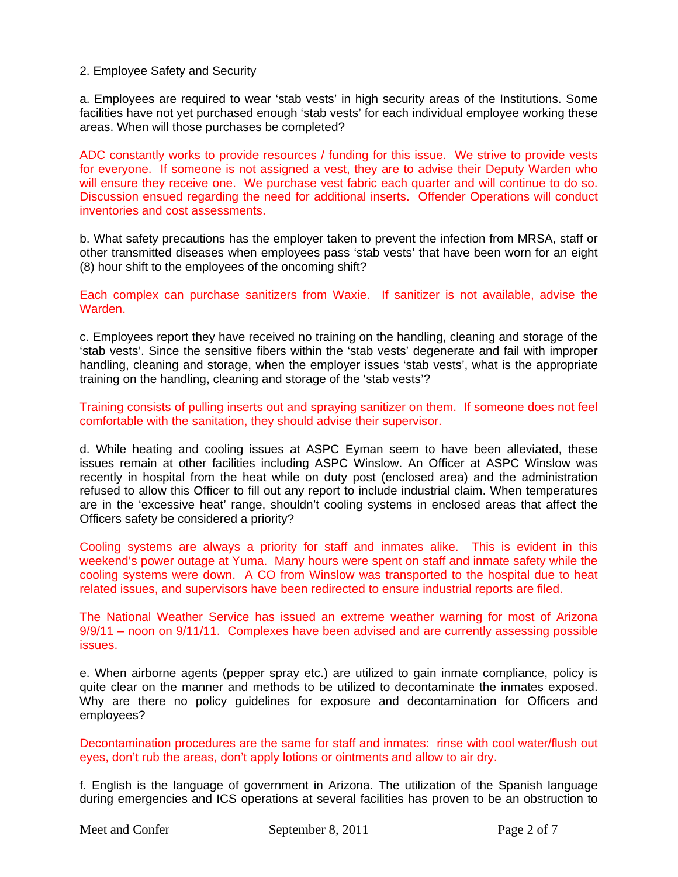2. Employee Safety and Security

a. Employees are required to wear 'stab vests' in high security areas of the Institutions. Some facilities have not yet purchased enough 'stab vests' for each individual employee working these areas. When will those purchases be completed?

ADC constantly works to provide resources / funding for this issue. We strive to provide vests for everyone. If someone is not assigned a vest, they are to advise their Deputy Warden who will ensure they receive one. We purchase vest fabric each quarter and will continue to do so. Discussion ensued regarding the need for additional inserts. Offender Operations will conduct inventories and cost assessments.

b. What safety precautions has the employer taken to prevent the infection from MRSA, staff or other transmitted diseases when employees pass 'stab vests' that have been worn for an eight (8) hour shift to the employees of the oncoming shift?

Each complex can purchase sanitizers from Waxie. If sanitizer is not available, advise the Warden.

c. Employees report they have received no training on the handling, cleaning and storage of the 'stab vests'. Since the sensitive fibers within the 'stab vests' degenerate and fail with improper handling, cleaning and storage, when the employer issues 'stab vests', what is the appropriate training on the handling, cleaning and storage of the 'stab vests'?

Training consists of pulling inserts out and spraying sanitizer on them. If someone does not feel comfortable with the sanitation, they should advise their supervisor.

d. While heating and cooling issues at ASPC Eyman seem to have been alleviated, these issues remain at other facilities including ASPC Winslow. An Officer at ASPC Winslow was recently in hospital from the heat while on duty post (enclosed area) and the administration refused to allow this Officer to fill out any report to include industrial claim. When temperatures are in the 'excessive heat' range, shouldn't cooling systems in enclosed areas that affect the Officers safety be considered a priority?

Cooling systems are always a priority for staff and inmates alike. This is evident in this weekend's power outage at Yuma. Many hours were spent on staff and inmate safety while the cooling systems were down. A CO from Winslow was transported to the hospital due to heat related issues, and supervisors have been redirected to ensure industrial reports are filed.

The National Weather Service has issued an extreme weather warning for most of Arizona 9/9/11 – noon on 9/11/11. Complexes have been advised and are currently assessing possible issues.

e. When airborne agents (pepper spray etc.) are utilized to gain inmate compliance, policy is quite clear on the manner and methods to be utilized to decontaminate the inmates exposed. Why are there no policy guidelines for exposure and decontamination for Officers and employees?

Decontamination procedures are the same for staff and inmates: rinse with cool water/flush out eyes, don't rub the areas, don't apply lotions or ointments and allow to air dry.

f. English is the language of government in Arizona. The utilization of the Spanish language during emergencies and ICS operations at several facilities has proven to be an obstruction to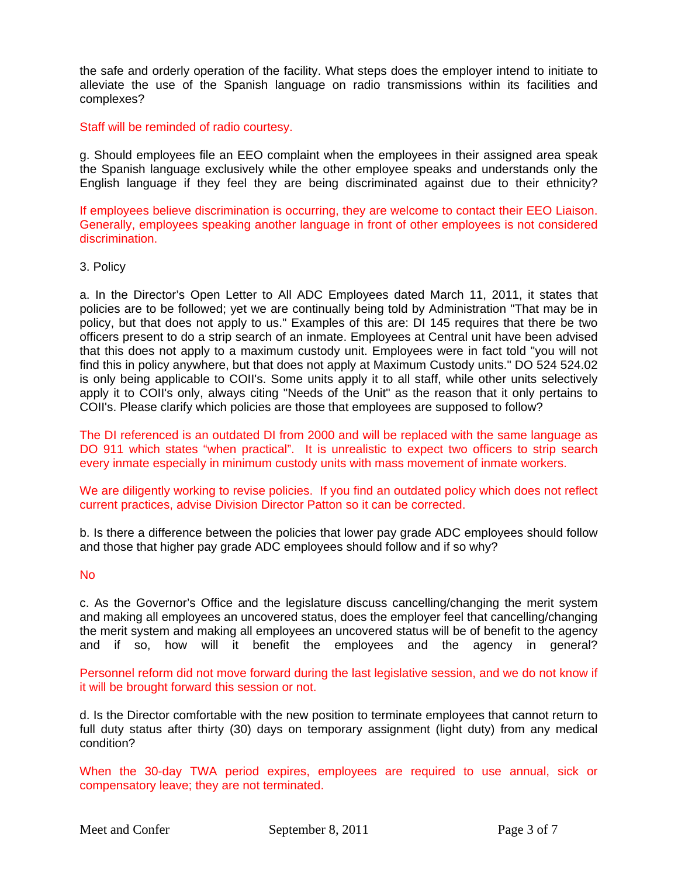the safe and orderly operation of the facility. What steps does the employer intend to initiate to alleviate the use of the Spanish language on radio transmissions within its facilities and complexes?

Staff will be reminded of radio courtesy.

g. Should employees file an EEO complaint when the employees in their assigned area speak the Spanish language exclusively while the other employee speaks and understands only the English language if they feel they are being discriminated against due to their ethnicity?

If employees believe discrimination is occurring, they are welcome to contact their EEO Liaison. Generally, employees speaking another language in front of other employees is not considered discrimination.

### 3. Policy

a. In the Director's Open Letter to All ADC Employees dated March 11, 2011, it states that policies are to be followed; yet we are continually being told by Administration "That may be in policy, but that does not apply to us." Examples of this are: DI 145 requires that there be two officers present to do a strip search of an inmate. Employees at Central unit have been advised that this does not apply to a maximum custody unit. Employees were in fact told "you will not find this in policy anywhere, but that does not apply at Maximum Custody units." DO 524 524.02 is only being applicable to COII's. Some units apply it to all staff, while other units selectively apply it to COII's only, always citing "Needs of the Unit" as the reason that it only pertains to COII's. Please clarify which policies are those that employees are supposed to follow?

The DI referenced is an outdated DI from 2000 and will be replaced with the same language as DO 911 which states "when practical". It is unrealistic to expect two officers to strip search every inmate especially in minimum custody units with mass movement of inmate workers.

We are diligently working to revise policies. If you find an outdated policy which does not reflect current practices, advise Division Director Patton so it can be corrected.

b. Is there a difference between the policies that lower pay grade ADC employees should follow and those that higher pay grade ADC employees should follow and if so why?

### No

c. As the Governor's Office and the legislature discuss cancelling/changing the merit system and making all employees an uncovered status, does the employer feel that cancelling/changing the merit system and making all employees an uncovered status will be of benefit to the agency and if so, how will it benefit the employees and the agency in general?

Personnel reform did not move forward during the last legislative session, and we do not know if it will be brought forward this session or not.

d. Is the Director comfortable with the new position to terminate employees that cannot return to full duty status after thirty (30) days on temporary assignment (light duty) from any medical condition?

When the 30-day TWA period expires, employees are required to use annual, sick or compensatory leave; they are not terminated.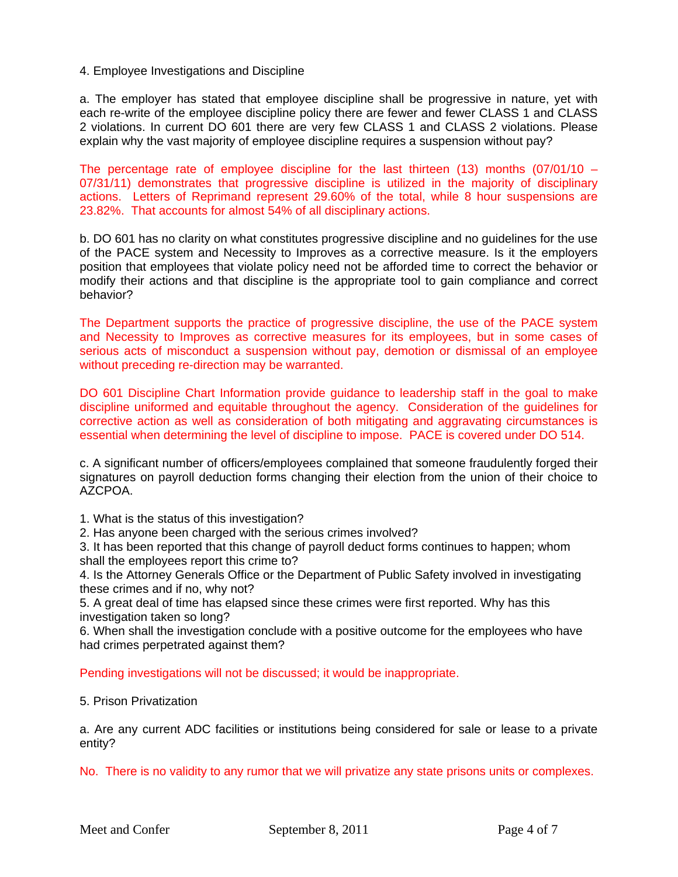4. Employee Investigations and Discipline

a. The employer has stated that employee discipline shall be progressive in nature, yet with each re-write of the employee discipline policy there are fewer and fewer CLASS 1 and CLASS 2 violations. In current DO 601 there are very few CLASS 1 and CLASS 2 violations. Please explain why the vast majority of employee discipline requires a suspension without pay?

The percentage rate of employee discipline for the last thirteen  $(13)$  months  $(07/01/10 -$ 07/31/11) demonstrates that progressive discipline is utilized in the majority of disciplinary actions. Letters of Reprimand represent 29.60% of the total, while 8 hour suspensions are 23.82%. That accounts for almost 54% of all disciplinary actions.

b. DO 601 has no clarity on what constitutes progressive discipline and no guidelines for the use of the PACE system and Necessity to Improves as a corrective measure. Is it the employers position that employees that violate policy need not be afforded time to correct the behavior or modify their actions and that discipline is the appropriate tool to gain compliance and correct behavior?

The Department supports the practice of progressive discipline, the use of the PACE system and Necessity to Improves as corrective measures for its employees, but in some cases of serious acts of misconduct a suspension without pay, demotion or dismissal of an employee without preceding re-direction may be warranted.

DO 601 Discipline Chart Information provide guidance to leadership staff in the goal to make discipline uniformed and equitable throughout the agency. Consideration of the guidelines for corrective action as well as consideration of both mitigating and aggravating circumstances is essential when determining the level of discipline to impose. PACE is covered under DO 514.

c. A significant number of officers/employees complained that someone fraudulently forged their signatures on payroll deduction forms changing their election from the union of their choice to AZCPOA.

1. What is the status of this investigation?

2. Has anyone been charged with the serious crimes involved?

3. It has been reported that this change of payroll deduct forms continues to happen; whom shall the employees report this crime to?

4. Is the Attorney Generals Office or the Department of Public Safety involved in investigating these crimes and if no, why not?

5. A great deal of time has elapsed since these crimes were first reported. Why has this investigation taken so long?

6. When shall the investigation conclude with a positive outcome for the employees who have had crimes perpetrated against them?

Pending investigations will not be discussed; it would be inappropriate.

### 5. Prison Privatization

a. Are any current ADC facilities or institutions being considered for sale or lease to a private entity?

No. There is no validity to any rumor that we will privatize any state prisons units or complexes.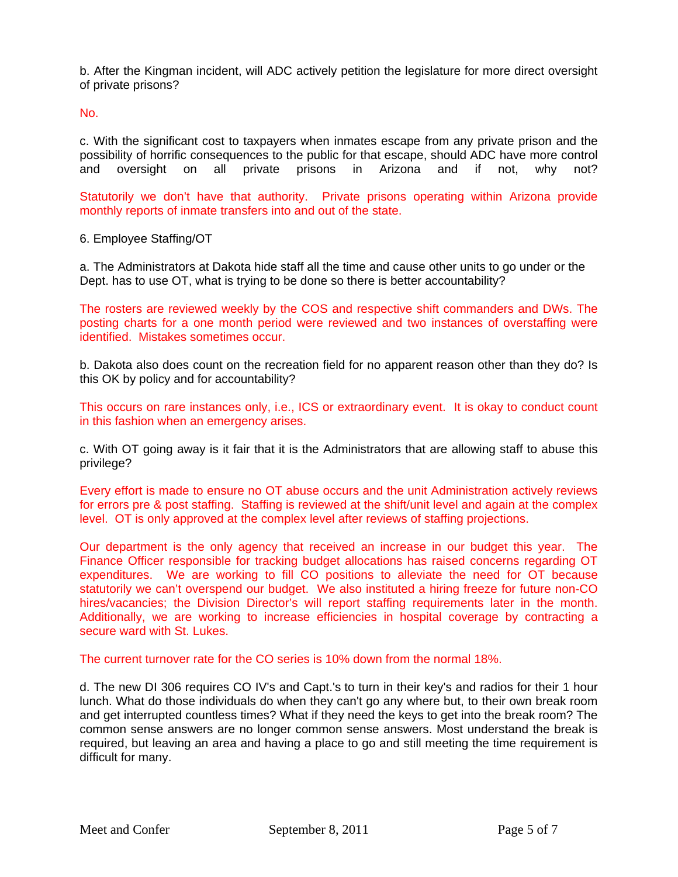b. After the Kingman incident, will ADC actively petition the legislature for more direct oversight of private prisons?

No.

c. With the significant cost to taxpayers when inmates escape from any private prison and the possibility of horrific consequences to the public for that escape, should ADC have more control and oversight on all private prisons in Arizona and if not, why not?

Statutorily we don't have that authority. Private prisons operating within Arizona provide monthly reports of inmate transfers into and out of the state.

6. Employee Staffing/OT

a. The Administrators at Dakota hide staff all the time and cause other units to go under or the Dept. has to use OT, what is trying to be done so there is better accountability?

The rosters are reviewed weekly by the COS and respective shift commanders and DWs. The posting charts for a one month period were reviewed and two instances of overstaffing were identified. Mistakes sometimes occur.

b. Dakota also does count on the recreation field for no apparent reason other than they do? Is this OK by policy and for accountability?

This occurs on rare instances only, i.e., ICS or extraordinary event. It is okay to conduct count in this fashion when an emergency arises.

c. With OT going away is it fair that it is the Administrators that are allowing staff to abuse this privilege?

Every effort is made to ensure no OT abuse occurs and the unit Administration actively reviews for errors pre & post staffing. Staffing is reviewed at the shift/unit level and again at the complex level. OT is only approved at the complex level after reviews of staffing projections.

Our department is the only agency that received an increase in our budget this year. The Finance Officer responsible for tracking budget allocations has raised concerns regarding OT expenditures. We are working to fill CO positions to alleviate the need for OT because statutorily we can't overspend our budget. We also instituted a hiring freeze for future non-CO hires/vacancies; the Division Director's will report staffing requirements later in the month. Additionally, we are working to increase efficiencies in hospital coverage by contracting a secure ward with St. Lukes.

The current turnover rate for the CO series is 10% down from the normal 18%.

d. The new DI 306 requires CO IV's and Capt.'s to turn in their key's and radios for their 1 hour lunch. What do those individuals do when they can't go any where but, to their own break room and get interrupted countless times? What if they need the keys to get into the break room? The common sense answers are no longer common sense answers. Most understand the break is required, but leaving an area and having a place to go and still meeting the time requirement is difficult for many.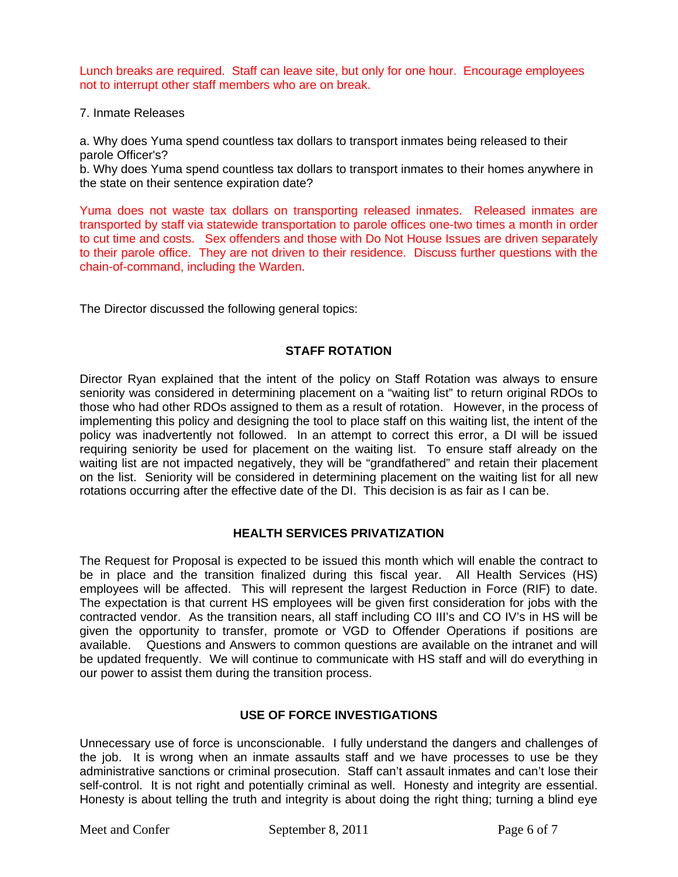Lunch breaks are required. Staff can leave site, but only for one hour. Encourage employees not to interrupt other staff members who are on break.

7. Inmate Releases

a. Why does Yuma spend countless tax dollars to transport inmates being released to their parole Officer's?

b. Why does Yuma spend countless tax dollars to transport inmates to their homes anywhere in the state on their sentence expiration date?

Yuma does not waste tax dollars on transporting released inmates. Released inmates are transported by staff via statewide transportation to parole offices one-two times a month in order to cut time and costs. Sex offenders and those with Do Not House Issues are driven separately to their parole office. They are not driven to their residence. Discuss further questions with the chain-of-command, including the Warden.

The Director discussed the following general topics:

# **STAFF ROTATION**

Director Ryan explained that the intent of the policy on Staff Rotation was always to ensure seniority was considered in determining placement on a "waiting list" to return original RDOs to those who had other RDOs assigned to them as a result of rotation. However, in the process of implementing this policy and designing the tool to place staff on this waiting list, the intent of the policy was inadvertently not followed. In an attempt to correct this error, a DI will be issued requiring seniority be used for placement on the waiting list. To ensure staff already on the waiting list are not impacted negatively, they will be "grandfathered" and retain their placement on the list. Seniority will be considered in determining placement on the waiting list for all new rotations occurring after the effective date of the DI. This decision is as fair as I can be.

## **HEALTH SERVICES PRIVATIZATION**

The Request for Proposal is expected to be issued this month which will enable the contract to be in place and the transition finalized during this fiscal year. All Health Services (HS) employees will be affected. This will represent the largest Reduction in Force (RIF) to date. The expectation is that current HS employees will be given first consideration for jobs with the contracted vendor. As the transition nears, all staff including CO III's and CO IV's in HS will be given the opportunity to transfer, promote or VGD to Offender Operations if positions are available. Questions and Answers to common questions are available on the intranet and will be updated frequently. We will continue to communicate with HS staff and will do everything in our power to assist them during the transition process.

## **USE OF FORCE INVESTIGATIONS**

Unnecessary use of force is unconscionable. I fully understand the dangers and challenges of the job. It is wrong when an inmate assaults staff and we have processes to use be they administrative sanctions or criminal prosecution. Staff can't assault inmates and can't lose their self-control. It is not right and potentially criminal as well. Honesty and integrity are essential. Honesty is about telling the truth and integrity is about doing the right thing; turning a blind eye